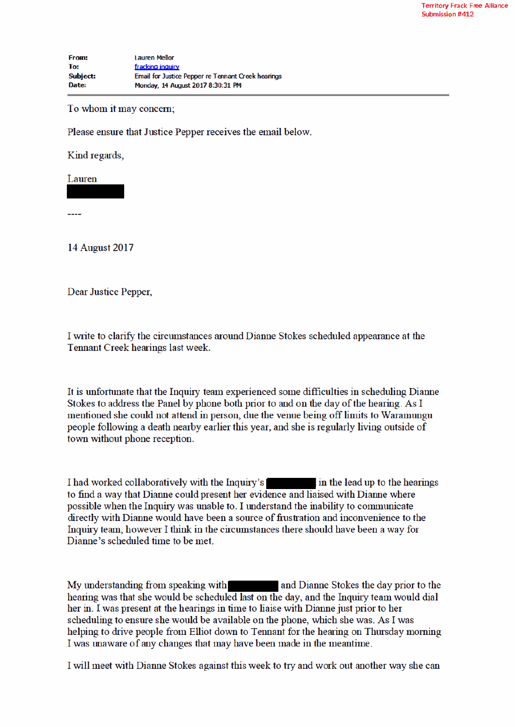To whom it may concern;

Please ensure that Justice Pepper receives the email below.

Kind regards,

Lauren

**14 August 2017** 

Dear Justice Pepper,

I write to clarify the circumstances around Dianne Stokes scheduled appearance at the Tennant Creek hearings last week.

It is unfortunate that the Inquiry team experienced some difficulties in scheduling Dianne Stokes to address the Panel by phone both prior to and on the day of the hearing. As I mentioned she could not attend in person, due the venue being off limits to Waramungu people following a death nearby earlier this year, and she is regularly living outside of town without phone reception.

I had worked collaboratively with the Inquiry's in the lead up to the hearings to find a way that Dianne could present her evidence and liaised with Dianne where possible when the Inquiry was unable to. I understand the inability to communicate directly with Dianne would have been a source of frustration and inconvenience to the Inquiry team, however I think in the circumstances there should have been a way for Dianne's scheduled time to be met.

My understanding from speaking with and Dianne Stokes the day prior to the hearing was that she would be scheduled last on the day, and the Inquiry team would dial her in. I was present at the hearings in time to liaise with Dianne just prior to her scheduling to ensure she would be available on the phone, which she was. As I was helping to drive people from Elliot down to Tennant for the hearing on Thursday morning I was unaware of any changes that may have been made in the meantime.

I will meet with Dianne Stokes against this week to try and work out another way she can